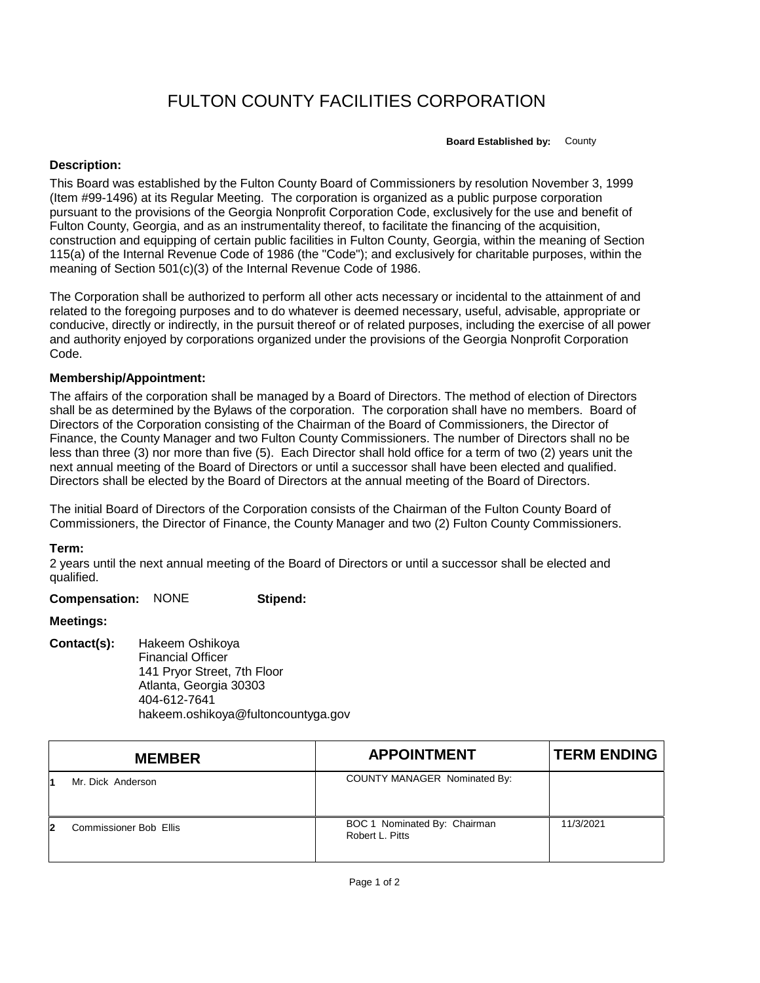# FULTON COUNTY FACILITIES CORPORATION

**Board Established by:** County

#### **Description:**

This Board was established by the Fulton County Board of Commissioners by resolution November 3, 1999 (Item #99-1496) at its Regular Meeting. The corporation is organized as a public purpose corporation pursuant to the provisions of the Georgia Nonprofit Corporation Code, exclusively for the use and benefit of Fulton County, Georgia, and as an instrumentality thereof, to facilitate the financing of the acquisition, construction and equipping of certain public facilities in Fulton County, Georgia, within the meaning of Section 115(a) of the Internal Revenue Code of 1986 (the "Code"); and exclusively for charitable purposes, within the meaning of Section 501(c)(3) of the Internal Revenue Code of 1986.

The Corporation shall be authorized to perform all other acts necessary or incidental to the attainment of and related to the foregoing purposes and to do whatever is deemed necessary, useful, advisable, appropriate or conducive, directly or indirectly, in the pursuit thereof or of related purposes, including the exercise of all power and authority enjoyed by corporations organized under the provisions of the Georgia Nonprofit Corporation Code.

### **Membership/Appointment:**

The affairs of the corporation shall be managed by a Board of Directors. The method of election of Directors shall be as determined by the Bylaws of the corporation. The corporation shall have no members. Board of Directors of the Corporation consisting of the Chairman of the Board of Commissioners, the Director of Finance, the County Manager and two Fulton County Commissioners. The number of Directors shall no be less than three (3) nor more than five (5). Each Director shall hold office for a term of two (2) years unit the next annual meeting of the Board of Directors or until a successor shall have been elected and qualified. Directors shall be elected by the Board of Directors at the annual meeting of the Board of Directors.

The initial Board of Directors of the Corporation consists of the Chairman of the Fulton County Board of Commissioners, the Director of Finance, the County Manager and two (2) Fulton County Commissioners.

## **Term:**

2 years until the next annual meeting of the Board of Directors or until a successor shall be elected and qualified.

**Compensation:** NONE **Stipend:**

## **Meetings:**

**Contact(s):** Hakeem Oshikoya Financial Officer 141 Pryor Street, 7th Floor Atlanta, Georgia 30303 404-612-7641 hakeem.oshikoya@fultoncountyga.gov

|   | <b>MEMBER</b>                 | <b>APPOINTMENT</b>                              | <b>TERM ENDING</b> |
|---|-------------------------------|-------------------------------------------------|--------------------|
|   | Mr. Dick Anderson             | COUNTY MANAGER Nominated By:                    |                    |
| 2 | <b>Commissioner Bob Ellis</b> | BOC 1 Nominated By: Chairman<br>Robert L. Pitts | 11/3/2021          |